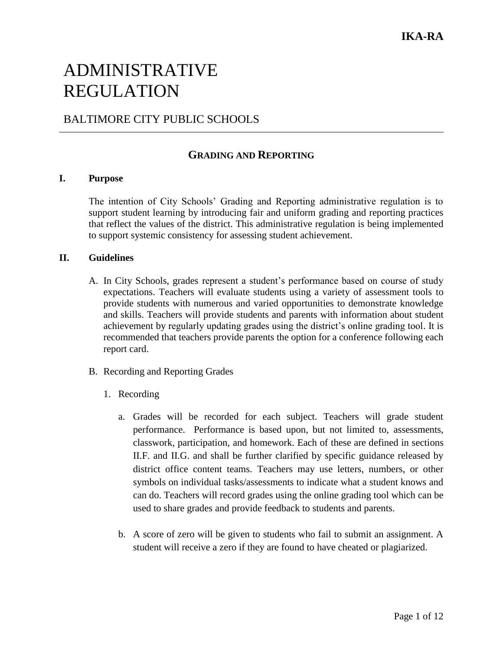# ADMINISTRATIVE REGULATION

## BALTIMORE CITY PUBLIC SCHOOLS

### **GRADING AND REPORTING**

#### **I. Purpose**

The intention of City Schools' Grading and Reporting administrative regulation is to support student learning by introducing fair and uniform grading and reporting practices that reflect the values of the district. This administrative regulation is being implemented to support systemic consistency for assessing student achievement.

#### **II. Guidelines**

- A. In City Schools, grades represent a student's performance based on course of study expectations. Teachers will evaluate students using a variety of assessment tools to provide students with numerous and varied opportunities to demonstrate knowledge and skills. Teachers will provide students and parents with information about student achievement by regularly updating grades using the district's online grading tool. It is recommended that teachers provide parents the option for a conference following each report card.
- B. Recording and Reporting Grades
	- 1. Recording
		- a. Grades will be recorded for each subject. Teachers will grade student performance. Performance is based upon, but not limited to, assessments, classwork, participation, and homework. Each of these are defined in sections II.F. and II.G. and shall be further clarified by specific guidance released by district office content teams. Teachers may use letters, numbers, or other symbols on individual tasks/assessments to indicate what a student knows and can do. Teachers will record grades using the online grading tool which can be used to share grades and provide feedback to students and parents.
		- b. A score of zero will be given to students who fail to submit an assignment. A student will receive a zero if they are found to have cheated or plagiarized.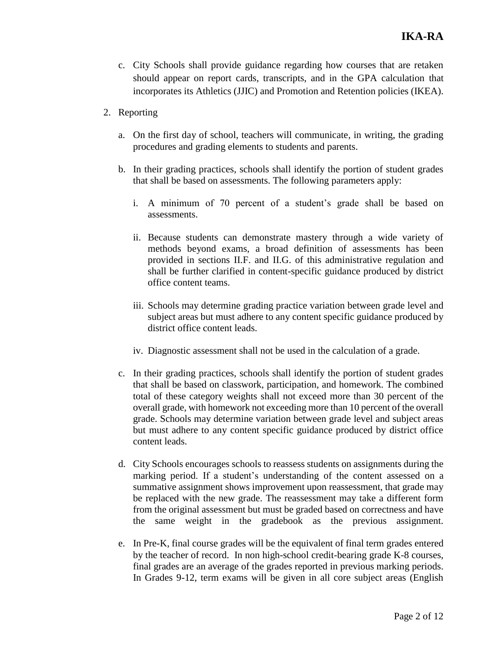- c. City Schools shall provide guidance regarding how courses that are retaken should appear on report cards, transcripts, and in the GPA calculation that incorporates its Athletics (JJIC) and Promotion and Retention policies (IKEA).
- 2. Reporting
	- a. On the first day of school, teachers will communicate, in writing, the grading procedures and grading elements to students and parents.
	- b. In their grading practices, schools shall identify the portion of student grades that shall be based on assessments. The following parameters apply:
		- i. A minimum of 70 percent of a student's grade shall be based on assessments.
		- ii. Because students can demonstrate mastery through a wide variety of methods beyond exams, a broad definition of assessments has been provided in sections II.F. and II.G. of this administrative regulation and shall be further clarified in content-specific guidance produced by district office content teams.
		- iii. Schools may determine grading practice variation between grade level and subject areas but must adhere to any content specific guidance produced by district office content leads.
		- iv. Diagnostic assessment shall not be used in the calculation of a grade.
	- c. In their grading practices, schools shall identify the portion of student grades that shall be based on classwork, participation, and homework. The combined total of these category weights shall not exceed more than 30 percent of the overall grade, with homework not exceeding more than 10 percent of the overall grade. Schools may determine variation between grade level and subject areas but must adhere to any content specific guidance produced by district office content leads.
	- d. City Schools encourages schools to reassess students on assignments during the marking period. If a student's understanding of the content assessed on a summative assignment shows improvement upon reassessment, that grade may be replaced with the new grade. The reassessment may take a different form from the original assessment but must be graded based on correctness and have the same weight in the gradebook as the previous assignment.
	- e. In Pre-K, final course grades will be the equivalent of final term grades entered by the teacher of record. In non high-school credit-bearing grade K-8 courses, final grades are an average of the grades reported in previous marking periods. In Grades 9-12, term exams will be given in all core subject areas (English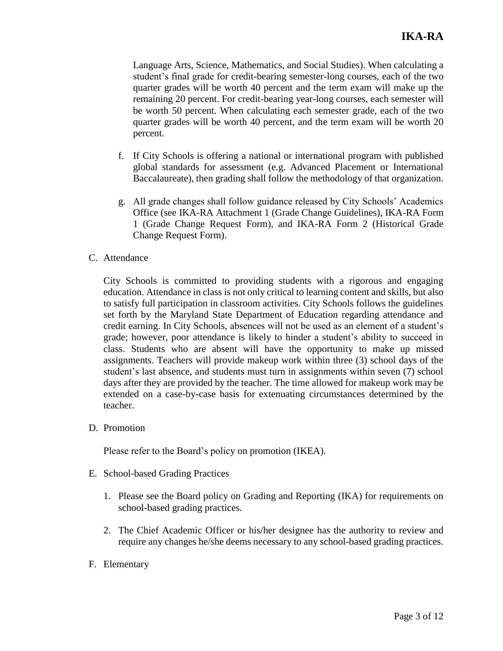Language Arts, Science, Mathematics, and Social Studies). When calculating a student's final grade for credit-bearing semester-long courses, each of the two quarter grades will be worth 40 percent and the term exam will make up the remaining 20 percent. For credit-bearing year-long courses, each semester will be worth 50 percent. When calculating each semester grade, each of the two quarter grades will be worth 40 percent, and the term exam will be worth 20 percent.

- f. If City Schools is offering a national or international program with published global standards for assessment (e.g. Advanced Placement or International Baccalaureate), then grading shall follow the methodology of that organization.
- g. All grade changes shall follow guidance released by City Schools' Academics Office (see IKA-RA Attachment 1 (Grade Change Guidelines), IKA-RA Form 1 (Grade Change Request Form), and IKA-RA Form 2 (Historical Grade Change Request Form).
- C. Attendance

City Schools is committed to providing students with a rigorous and engaging education. Attendance in class is not only critical to learning content and skills, but also to satisfy full participation in classroom activities. City Schools follows the guidelines set forth by the Maryland State Department of Education regarding attendance and credit earning. In City Schools, absences will not be used as an element of a student's grade; however, poor attendance is likely to hinder a student's ability to succeed in class. Students who are absent will have the opportunity to make up missed assignments. Teachers will provide makeup work within three (3) school days of the student's last absence, and students must turn in assignments within seven (7) school days after they are provided by the teacher. The time allowed for makeup work may be extended on a case-by-case basis for extenuating circumstances determined by the teacher.

D. Promotion

Please refer to the Board's policy on promotion (IKEA).

- E. School-based Grading Practices
	- 1. Please see the Board policy on Grading and Reporting (IKA) for requirements on school-based grading practices.
	- 2. The Chief Academic Officer or his/her designee has the authority to review and require any changes he/she deems necessary to any school-based grading practices.
- F. Elementary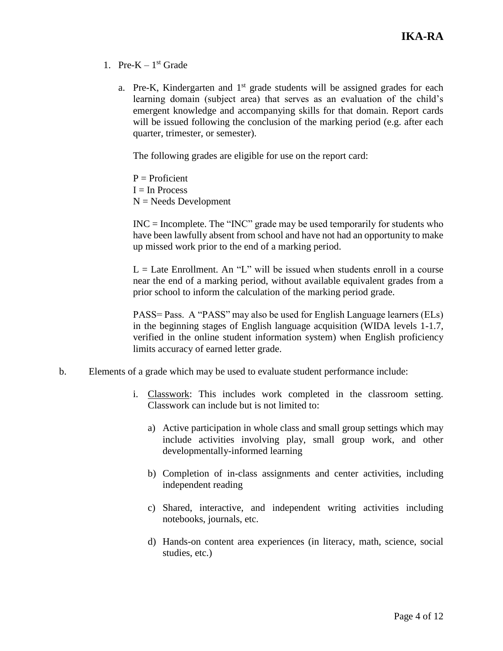- 1. Pre- $K 1<sup>st</sup>$  Grade
	- a. Pre-K, Kindergarten and  $1<sup>st</sup>$  grade students will be assigned grades for each learning domain (subject area) that serves as an evaluation of the child's emergent knowledge and accompanying skills for that domain. Report cards will be issued following the conclusion of the marking period (e.g. after each quarter, trimester, or semester).

The following grades are eligible for use on the report card:

 $P =$ Proficient  $I = In Process$  $N =$  Needs Development

INC = Incomplete. The "INC" grade may be used temporarily for students who have been lawfully absent from school and have not had an opportunity to make up missed work prior to the end of a marking period.

 $L =$  Late Enrollment. An "L" will be issued when students enroll in a course near the end of a marking period, without available equivalent grades from a prior school to inform the calculation of the marking period grade.

PASS= Pass. A "PASS" may also be used for English Language learners (ELs) in the beginning stages of English language acquisition (WIDA levels 1-1.7, verified in the online student information system) when English proficiency limits accuracy of earned letter grade.

- b. Elements of a grade which may be used to evaluate student performance include:
	- i. Classwork: This includes work completed in the classroom setting. Classwork can include but is not limited to:
		- a) Active participation in whole class and small group settings which may include activities involving play, small group work, and other developmentally-informed learning
		- b) Completion of in-class assignments and center activities, including independent reading
		- c) Shared, interactive, and independent writing activities including notebooks, journals, etc.
		- d) Hands-on content area experiences (in literacy, math, science, social studies, etc.)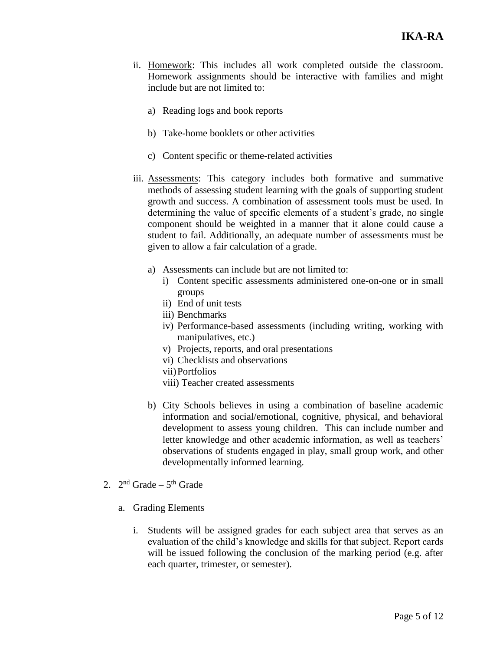- ii. Homework: This includes all work completed outside the classroom. Homework assignments should be interactive with families and might include but are not limited to:
	- a) Reading logs and book reports
	- b) Take-home booklets or other activities
	- c) Content specific or theme-related activities
- iii. Assessments: This category includes both formative and summative methods of assessing student learning with the goals of supporting student growth and success. A combination of assessment tools must be used. In determining the value of specific elements of a student's grade, no single component should be weighted in a manner that it alone could cause a student to fail. Additionally, an adequate number of assessments must be given to allow a fair calculation of a grade.
	- a) Assessments can include but are not limited to:
		- i) Content specific assessments administered one-on-one or in small groups
		- ii) End of unit tests
		- iii) Benchmarks
		- iv) Performance-based assessments (including writing, working with manipulatives, etc.)
		- v) Projects, reports, and oral presentations
		- vi) Checklists and observations
		- vii)Portfolios
		- viii) Teacher created assessments
	- b) City Schools believes in using a combination of baseline academic information and social/emotional, cognitive, physical, and behavioral development to assess young children. This can include number and letter knowledge and other academic information, as well as teachers' observations of students engaged in play, small group work, and other developmentally informed learning.
- 2.  $2<sup>nd</sup>$  Grade  $5<sup>th</sup>$  Grade
	- a. Grading Elements
		- i. Students will be assigned grades for each subject area that serves as an evaluation of the child's knowledge and skills for that subject. Report cards will be issued following the conclusion of the marking period (e.g. after each quarter, trimester, or semester).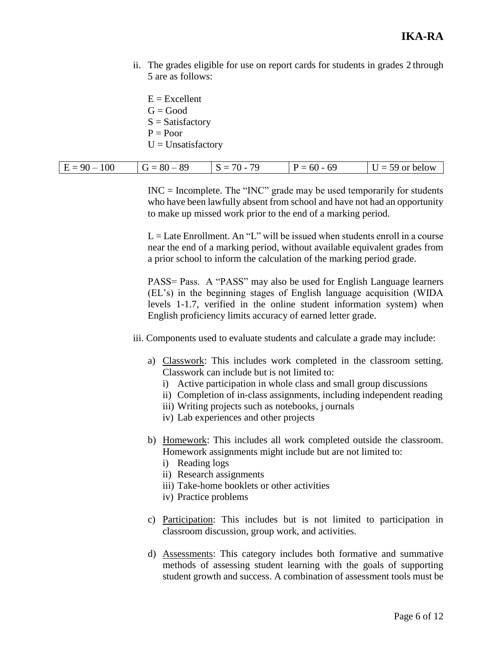ii. The grades eligible for use on report cards for students in grades 2 through 5 are as follows:

 $E = Excellent$  $G = Good$  $S = Satisfactory$  $P = Poor$  $U =$ Unsatisfactory

| 100<br>$-89$<br>$E =$<br>Q() | 70 | 69<br>$60 -$ | or below<br>$\overline{\phantom{0}}$<br>`J |
|------------------------------|----|--------------|--------------------------------------------|
|------------------------------|----|--------------|--------------------------------------------|

 $INC = Incomplete. The "INC" grade may be used temporarily for students$ who have been lawfully absent from school and have not had an opportunity to make up missed work prior to the end of a marking period.

 $L =$ Late Enrollment. An "L" will be issued when students enroll in a course near the end of a marking period, without available equivalent grades from a prior school to inform the calculation of the marking period grade.

PASS= Pass. A "PASS" may also be used for English Language learners (EL's) in the beginning stages of English language acquisition (WIDA levels 1-1.7, verified in the online student information system) when English proficiency limits accuracy of earned letter grade.

iii. Components used to evaluate students and calculate a grade may include:

- a) Classwork: This includes work completed in the classroom setting. Classwork can include but is not limited to:
	- i) Active participation in whole class and small group discussions
	- ii) Completion of in-class assignments, including independent reading
	- iii) Writing projects such as notebooks, j ournals
	- iv) Lab experiences and other projects
- b) Homework: This includes all work completed outside the classroom. Homework assignments might include but are not limited to:
	- i) Reading logs
	- ii) Research assignments
	- iii) Take-home booklets or other activities
	- iv) Practice problems
- c) Participation: This includes but is not limited to participation in classroom discussion, group work, and activities.
- d) Assessments: This category includes both formative and summative methods of assessing student learning with the goals of supporting student growth and success. A combination of assessment tools must be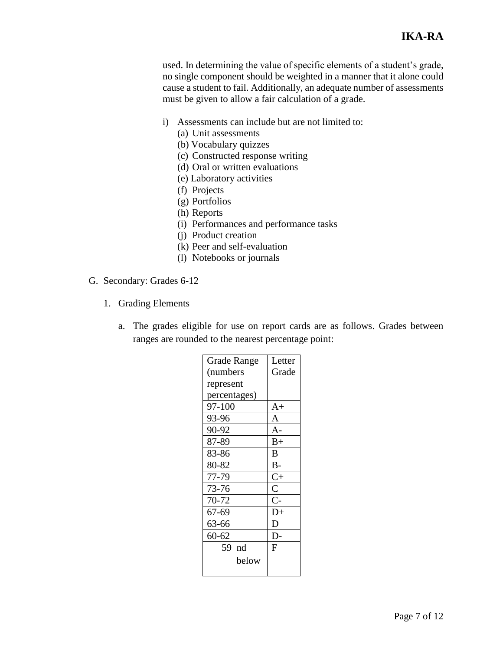used. In determining the value of specific elements of a student's grade, no single component should be weighted in a manner that it alone could cause a student to fail. Additionally, an adequate number of assessments must be given to allow a fair calculation of a grade.

- i) Assessments can include but are not limited to:
	- (a) Unit assessments
	- (b) Vocabulary quizzes
	- (c) Constructed response writing
	- (d) Oral or written evaluations
	- (e) Laboratory activities
	- (f) Projects
	- (g) Portfolios
	- (h) Reports
	- (i) Performances and performance tasks
	- (j) Product creation
	- (k) Peer and self-evaluation
	- (l) Notebooks or journals
- G. Secondary: Grades 6-12
	- 1. Grading Elements
		- a. The grades eligible for use on report cards are as follows. Grades between ranges are rounded to the nearest percentage point:

| <b>Grade Range</b> | Letter          |
|--------------------|-----------------|
| (numbers           | Grade           |
| represent          |                 |
| percentages)       |                 |
| 97-100             | $A+$            |
| 93-96              | A               |
| 90-92              | $A -$           |
| 87-89              | $B+$            |
| 83-86              | B               |
| 80-82              | $B -$           |
| 77-79              | $C+$            |
| 73-76              | $\overline{C}$  |
| 70-72              | $C-$            |
| 67-69              | $\overline{D}+$ |
| 63-66              | D               |
| $60 - 62$          | D-              |
| 59 nd              | F               |
| below              |                 |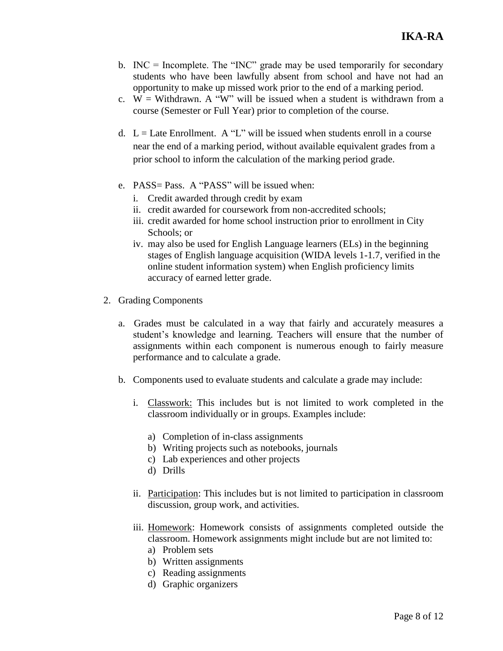- b.  $INC = Incomplete$ . The "INC" grade may be used temporarily for secondary students who have been lawfully absent from school and have not had an opportunity to make up missed work prior to the end of a marking period.
- c.  $W =$  Withdrawn. A "W" will be issued when a student is withdrawn from a course (Semester or Full Year) prior to completion of the course.
- d.  $L =$  Late Enrollment. A "L" will be issued when students enroll in a course near the end of a marking period, without available equivalent grades from a prior school to inform the calculation of the marking period grade.
- e. PASS= Pass. A "PASS" will be issued when:
	- i. Credit awarded through credit by exam
	- ii. credit awarded for coursework from non-accredited schools;
	- iii. credit awarded for home school instruction prior to enrollment in City Schools; or
	- iv. may also be used for English Language learners (ELs) in the beginning stages of English language acquisition (WIDA levels 1-1.7, verified in the online student information system) when English proficiency limits accuracy of earned letter grade.
- 2. Grading Components
	- a. Grades must be calculated in a way that fairly and accurately measures a student's knowledge and learning. Teachers will ensure that the number of assignments within each component is numerous enough to fairly measure performance and to calculate a grade.
	- b. Components used to evaluate students and calculate a grade may include:
		- i. Classwork: This includes but is not limited to work completed in the classroom individually or in groups. Examples include:
			- a) Completion of in-class assignments
			- b) Writing projects such as notebooks, journals
			- c) Lab experiences and other projects
			- d) Drills
		- ii. Participation: This includes but is not limited to participation in classroom discussion, group work, and activities.
		- iii. Homework: Homework consists of assignments completed outside the classroom. Homework assignments might include but are not limited to:
			- a) Problem sets
			- b) Written assignments
			- c) Reading assignments
			- d) Graphic organizers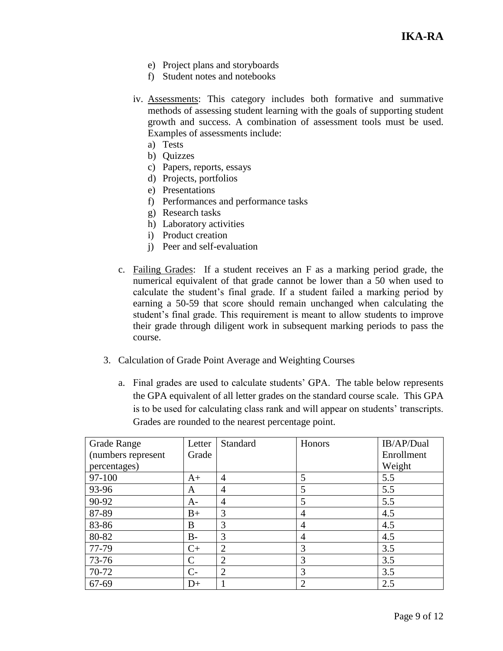- e) Project plans and storyboards
- f) Student notes and notebooks
- iv. Assessments: This category includes both formative and summative methods of assessing student learning with the goals of supporting student growth and success. A combination of assessment tools must be used. Examples of assessments include:
	- a) Tests
	- b) Quizzes
	- c) Papers, reports, essays
	- d) Projects, portfolios
	- e) Presentations
	- f) Performances and performance tasks
	- g) Research tasks
	- h) Laboratory activities
	- i) Product creation
	- j) Peer and self-evaluation
- c. Failing Grades: If a student receives an F as a marking period grade, the numerical equivalent of that grade cannot be lower than a 50 when used to calculate the student's final grade. If a student failed a marking period by earning a 50-59 that score should remain unchanged when calculating the student's final grade. This requirement is meant to allow students to improve their grade through diligent work in subsequent marking periods to pass the course.
- 3. Calculation of Grade Point Average and Weighting Courses
	- a. Final grades are used to calculate students' GPA. The table below represents the GPA equivalent of all letter grades on the standard course scale. This GPA is to be used for calculating class rank and will appear on students' transcripts. Grades are rounded to the nearest percentage point.

| <b>Grade Range</b> | Letter        | Standard       | Honors         | IB/AP/Dual |
|--------------------|---------------|----------------|----------------|------------|
| (numbers represent | Grade         |                |                | Enrollment |
| percentages)       |               |                |                | Weight     |
| 97-100             | $A+$          | $\overline{4}$ | 5              | 5.5        |
| 93-96              | A             | $\overline{4}$ | 5              | 5.5        |
| 90-92              | $A-$          | $\overline{4}$ | 5              | 5.5        |
| 87-89              | $B+$          | 3              | $\overline{4}$ | 4.5        |
| 83-86              | B             | 3              | 4              | 4.5        |
| 80-82              | $B-$          | 3              | 4              | 4.5        |
| 77-79              | $C+$          | $\overline{2}$ | 3              | 3.5        |
| 73-76              | $\mathcal{C}$ | $\overline{2}$ | 3              | 3.5        |
| 70-72              | $C-$          | $\overline{2}$ | 3              | 3.5        |
| $67 - 69$          | $D+$          |                | $\overline{2}$ | 2.5        |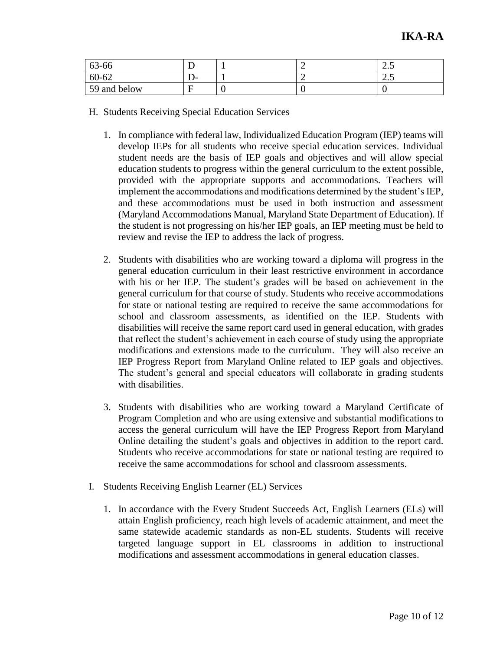| 63-66        |     |   | ر. ک |
|--------------|-----|---|------|
| 60-62        | – ب |   | ن ک  |
| 59 and below |     | ◡ |      |

- H. Students Receiving Special Education Services
	- 1. In compliance with federal law, Individualized Education Program (IEP) teams will develop IEPs for all students who receive special education services. Individual student needs are the basis of IEP goals and objectives and will allow special education students to progress within the general curriculum to the extent possible, provided with the appropriate supports and accommodations. Teachers will implement the accommodations and modifications determined by the student's IEP, and these accommodations must be used in both instruction and assessment (Maryland Accommodations Manual, Maryland State Department of Education). If the student is not progressing on his/her IEP goals, an IEP meeting must be held to review and revise the IEP to address the lack of progress.
	- 2. Students with disabilities who are working toward a diploma will progress in the general education curriculum in their least restrictive environment in accordance with his or her IEP. The student's grades will be based on achievement in the general curriculum for that course of study. Students who receive accommodations for state or national testing are required to receive the same accommodations for school and classroom assessments, as identified on the IEP. Students with disabilities will receive the same report card used in general education, with grades that reflect the student's achievement in each course of study using the appropriate modifications and extensions made to the curriculum. They will also receive an IEP Progress Report from Maryland Online related to IEP goals and objectives. The student's general and special educators will collaborate in grading students with disabilities.
	- 3. Students with disabilities who are working toward a Maryland Certificate of Program Completion and who are using extensive and substantial modifications to access the general curriculum will have the IEP Progress Report from Maryland Online detailing the student's goals and objectives in addition to the report card. Students who receive accommodations for state or national testing are required to receive the same accommodations for school and classroom assessments.
- I. Students Receiving English Learner (EL) Services
	- 1. In accordance with the Every Student Succeeds Act, English Learners (ELs) will attain English proficiency, reach high levels of academic attainment, and meet the same statewide academic standards as non-EL students. Students will receive targeted language support in EL classrooms in addition to instructional modifications and assessment accommodations in general education classes.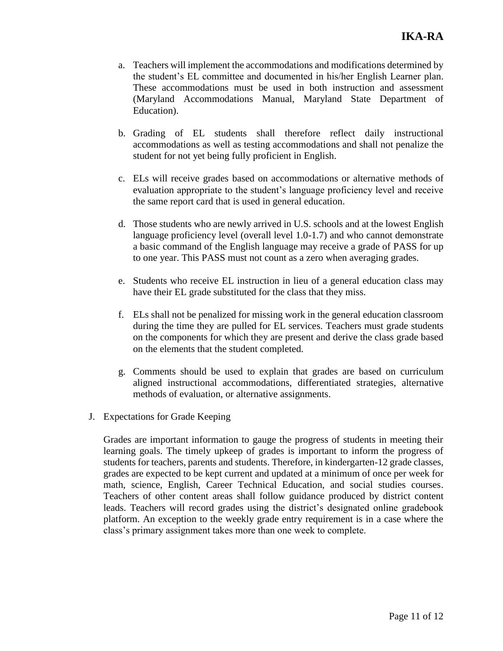- a. Teachers will implement the accommodations and modifications determined by the student's EL committee and documented in his/her English Learner plan. These accommodations must be used in both instruction and assessment (Maryland Accommodations Manual, Maryland State Department of Education).
- b. Grading of EL students shall therefore reflect daily instructional accommodations as well as testing accommodations and shall not penalize the student for not yet being fully proficient in English.
- c. ELs will receive grades based on accommodations or alternative methods of evaluation appropriate to the student's language proficiency level and receive the same report card that is used in general education.
- d. Those students who are newly arrived in U.S. schools and at the lowest English language proficiency level (overall level 1.0-1.7) and who cannot demonstrate a basic command of the English language may receive a grade of PASS for up to one year. This PASS must not count as a zero when averaging grades.
- e. Students who receive EL instruction in lieu of a general education class may have their EL grade substituted for the class that they miss.
- f. ELs shall not be penalized for missing work in the general education classroom during the time they are pulled for EL services. Teachers must grade students on the components for which they are present and derive the class grade based on the elements that the student completed.
- g. Comments should be used to explain that grades are based on curriculum aligned instructional accommodations, differentiated strategies, alternative methods of evaluation, or alternative assignments.
- J. Expectations for Grade Keeping

Grades are important information to gauge the progress of students in meeting their learning goals. The timely upkeep of grades is important to inform the progress of students for teachers, parents and students. Therefore, in kindergarten-12 grade classes, grades are expected to be kept current and updated at a minimum of once per week for math, science, English, Career Technical Education, and social studies courses. Teachers of other content areas shall follow guidance produced by district content leads. Teachers will record grades using the district's designated online gradebook platform. An exception to the weekly grade entry requirement is in a case where the class's primary assignment takes more than one week to complete.